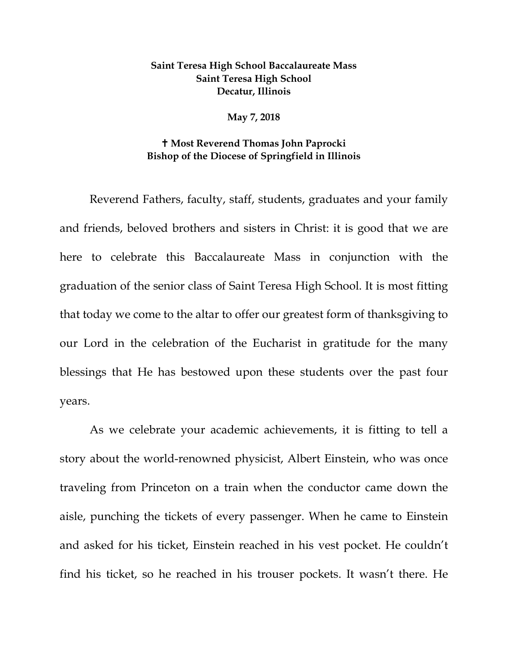## **Saint Teresa High School Baccalaureate Mass Saint Teresa High School Decatur, Illinois**

**May 7, 2018**

## **Most Reverend Thomas John Paprocki Bishop of the Diocese of Springfield in Illinois**

Reverend Fathers, faculty, staff, students, graduates and your family and friends, beloved brothers and sisters in Christ: it is good that we are here to celebrate this Baccalaureate Mass in conjunction with the graduation of the senior class of Saint Teresa High School. It is most fitting that today we come to the altar to offer our greatest form of thanksgiving to our Lord in the celebration of the Eucharist in gratitude for the many blessings that He has bestowed upon these students over the past four years.

As we celebrate your academic achievements, it is fitting to tell a story about the world-renowned physicist, Albert Einstein, who was once traveling from Princeton on a train when the conductor came down the aisle, punching the tickets of every passenger. When he came to Einstein and asked for his ticket, Einstein reached in his vest pocket. He couldn't find his ticket, so he reached in his trouser pockets. It wasn't there. He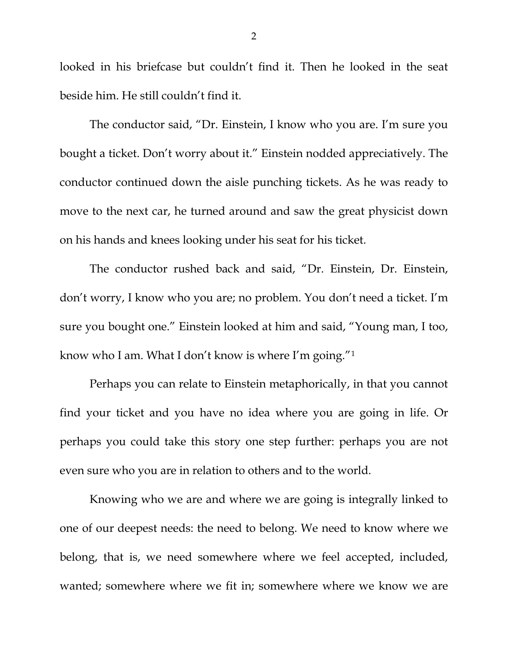looked in his briefcase but couldn't find it. Then he looked in the seat beside him. He still couldn't find it.

The conductor said, "Dr. Einstein, I know who you are. I'm sure you bought a ticket. Don't worry about it." Einstein nodded appreciatively. The conductor continued down the aisle punching tickets. As he was ready to move to the next car, he turned around and saw the great physicist down on his hands and knees looking under his seat for his ticket.

The conductor rushed back and said, "Dr. Einstein, Dr. Einstein, don't worry, I know who you are; no problem. You don't need a ticket. I'm sure you bought one." Einstein looked at him and said, "Young man, I too, know who I am. What I don't know is where I'm going."1

Perhaps you can relate to Einstein metaphorically, in that you cannot find your ticket and you have no idea where you are going in life. Or perhaps you could take this story one step further: perhaps you are not even sure who you are in relation to others and to the world.

Knowing who we are and where we are going is integrally linked to one of our deepest needs: the need to belong. We need to know where we belong, that is, we need somewhere where we feel accepted, included, wanted; somewhere where we fit in; somewhere where we know we are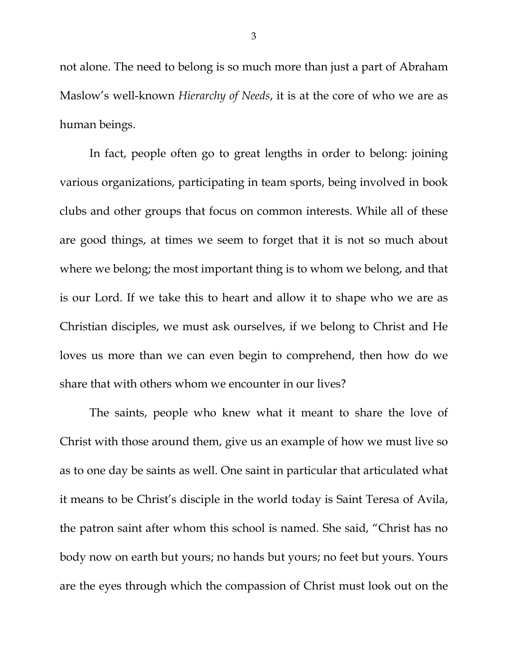not alone. The need to belong is so much more than just a part of Abraham Maslow's well-known *Hierarchy of Needs*, it is at the core of who we are as human beings.

In fact, people often go to great lengths in order to belong: joining various organizations, participating in team sports, being involved in book clubs and other groups that focus on common interests. While all of these are good things, at times we seem to forget that it is not so much about where we belong; the most important thing is to whom we belong, and that is our Lord. If we take this to heart and allow it to shape who we are as Christian disciples, we must ask ourselves, if we belong to Christ and He loves us more than we can even begin to comprehend, then how do we share that with others whom we encounter in our lives?

The saints, people who knew what it meant to share the love of Christ with those around them, give us an example of how we must live so as to one day be saints as well. One saint in particular that articulated what it means to be Christ's disciple in the world today is Saint Teresa of Avila, the patron saint after whom this school is named. She said, "Christ has no body now on earth but yours; no hands but yours; no feet but yours. Yours are the eyes through which the compassion of Christ must look out on the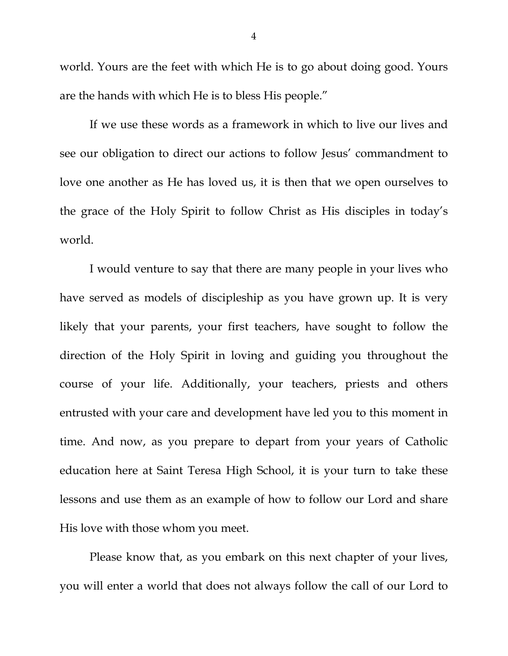world. Yours are the feet with which He is to go about doing good. Yours are the hands with which He is to bless His people."

If we use these words as a framework in which to live our lives and see our obligation to direct our actions to follow Jesus' commandment to love one another as He has loved us, it is then that we open ourselves to the grace of the Holy Spirit to follow Christ as His disciples in today's world.

I would venture to say that there are many people in your lives who have served as models of discipleship as you have grown up. It is very likely that your parents, your first teachers, have sought to follow the direction of the Holy Spirit in loving and guiding you throughout the course of your life. Additionally, your teachers, priests and others entrusted with your care and development have led you to this moment in time. And now, as you prepare to depart from your years of Catholic education here at Saint Teresa High School, it is your turn to take these lessons and use them as an example of how to follow our Lord and share His love with those whom you meet.

Please know that, as you embark on this next chapter of your lives, you will enter a world that does not always follow the call of our Lord to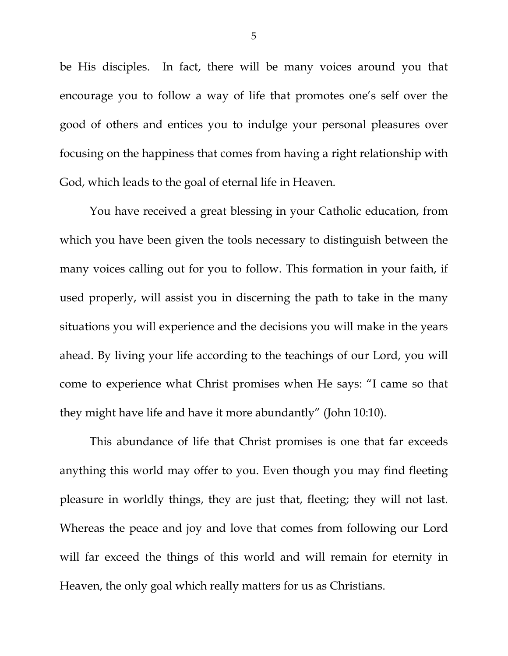be His disciples. In fact, there will be many voices around you that encourage you to follow a way of life that promotes one's self over the good of others and entices you to indulge your personal pleasures over focusing on the happiness that comes from having a right relationship with God, which leads to the goal of eternal life in Heaven.

You have received a great blessing in your Catholic education, from which you have been given the tools necessary to distinguish between the many voices calling out for you to follow. This formation in your faith, if used properly, will assist you in discerning the path to take in the many situations you will experience and the decisions you will make in the years ahead. By living your life according to the teachings of our Lord, you will come to experience what Christ promises when He says: "I came so that they might have life and have it more abundantly" (John 10:10).

This abundance of life that Christ promises is one that far exceeds anything this world may offer to you. Even though you may find fleeting pleasure in worldly things, they are just that, fleeting; they will not last. Whereas the peace and joy and love that comes from following our Lord will far exceed the things of this world and will remain for eternity in Heaven, the only goal which really matters for us as Christians.

5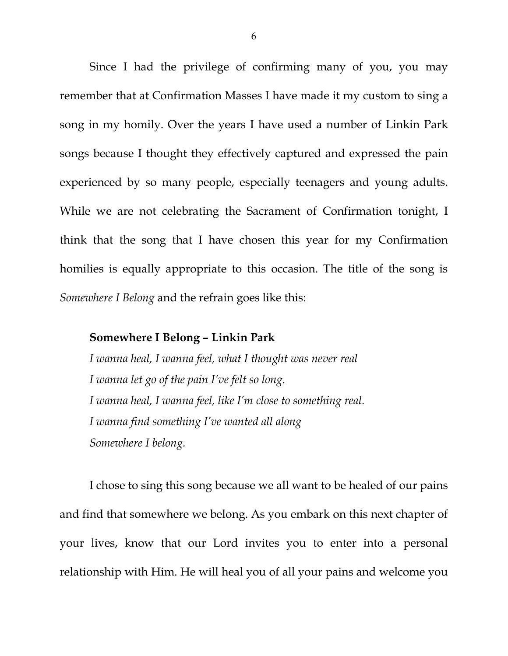Since I had the privilege of confirming many of you, you may remember that at Confirmation Masses I have made it my custom to sing a song in my homily. Over the years I have used a number of Linkin Park songs because I thought they effectively captured and expressed the pain experienced by so many people, especially teenagers and young adults. While we are not celebrating the Sacrament of Confirmation tonight, I think that the song that I have chosen this year for my Confirmation homilies is equally appropriate to this occasion. The title of the song is *Somewhere I Belong* and the refrain goes like this:

## **Somewhere I Belong – Linkin Park**

*I wanna heal, I wanna feel, what I thought was never real I wanna let go of the pain I've felt so long. I wanna heal, I wanna feel, like I'm close to something real. I wanna find something I've wanted all along Somewhere I belong.*

I chose to sing this song because we all want to be healed of our pains and find that somewhere we belong. As you embark on this next chapter of your lives, know that our Lord invites you to enter into a personal relationship with Him. He will heal you of all your pains and welcome you